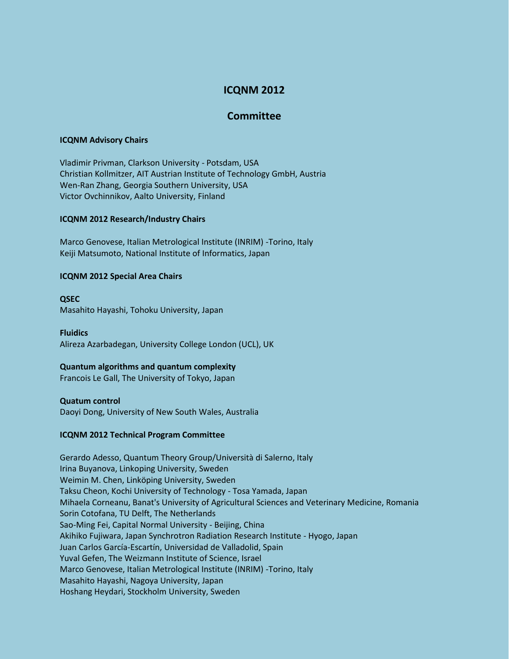# **ICQNM 2012**

# **Committee**

#### **ICQNM Advisory Chairs**

Vladimir Privman, Clarkson University - Potsdam, USA Christian Kollmitzer, AIT Austrian Institute of Technology GmbH, Austria Wen-Ran Zhang, Georgia Southern University, USA Victor Ovchinnikov, Aalto University, Finland

#### **ICQNM 2012 Research/Industry Chairs**

Marco Genovese, Italian Metrological Institute (INRIM) -Torino, Italy Keiji Matsumoto, National Institute of Informatics, Japan

#### **ICQNM 2012 Special Area Chairs**

**QSEC** Masahito Hayashi, Tohoku University, Japan

**Fluidics** Alireza Azarbadegan, University College London (UCL), UK

## **Quantum algorithms and quantum complexity**

Francois Le Gall, The University of Tokyo, Japan

**Quatum control** Daoyi Dong, University of New South Wales, Australia

## **ICQNM 2012 Technical Program Committee**

Gerardo Adesso, Quantum Theory Group/Università di Salerno, Italy Irina Buyanova, Linkoping University, Sweden Weimin M. Chen, Linköping University, Sweden Taksu Cheon, Kochi University of Technology - Tosa Yamada, Japan Mihaela Corneanu, Banat's University of Agricultural Sciences and Veterinary Medicine, Romania Sorin Cotofana, TU Delft, The Netherlands Sao-Ming Fei, Capital Normal University - Beijing, China Akihiko Fujiwara, Japan Synchrotron Radiation Research Institute - Hyogo, Japan Juan Carlos García-Escartín, Universidad de Valladolid, Spain Yuval Gefen, The Weizmann Institute of Science, Israel Marco Genovese, Italian Metrological Institute (INRIM) -Torino, Italy Masahito Hayashi, Nagoya University, Japan Hoshang Heydari, Stockholm University, Sweden